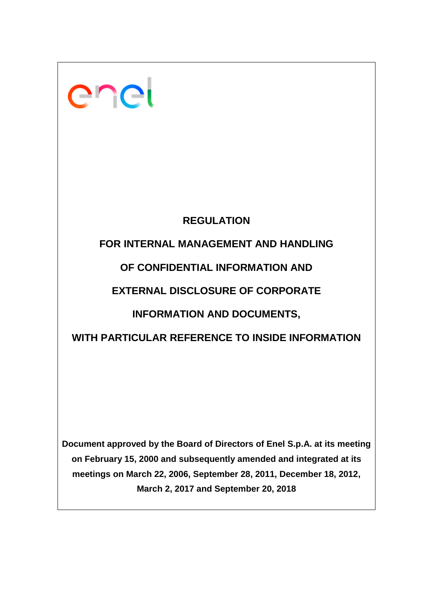

# **REGULATION**

# **FOR INTERNAL MANAGEMENT AND HANDLING**

# **OF CONFIDENTIAL INFORMATION AND**

# **EXTERNAL DISCLOSURE OF CORPORATE**

# **INFORMATION AND DOCUMENTS,**

# **WITH PARTICULAR REFERENCE TO INSIDE INFORMATION**

**Document approved by the Board of Directors of Enel S.p.A. at its meeting on February 15, 2000 and subsequently amended and integrated at its meetings on March 22, 2006, September 28, 2011, December 18, 2012, March 2, 2017 and September 20, 2018**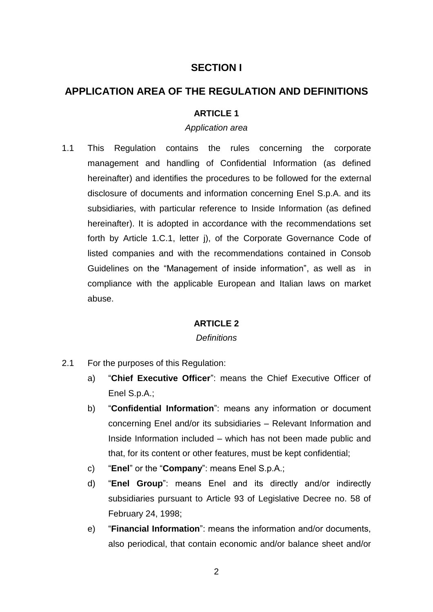## **SECTION I**

## **APPLICATION AREA OF THE REGULATION AND DEFINITIONS**

### **ARTICLE 1**

### *Application area*

1.1 This Regulation contains the rules concerning the corporate management and handling of Confidential Information (as defined hereinafter) and identifies the procedures to be followed for the external disclosure of documents and information concerning Enel S.p.A. and its subsidiaries, with particular reference to Inside Information (as defined hereinafter). It is adopted in accordance with the recommendations set forth by Article 1.C.1, letter j), of the Corporate Governance Code of listed companies and with the recommendations contained in Consob Guidelines on the "Management of inside information", as well as in compliance with the applicable European and Italian laws on market abuse.

### **ARTICLE 2**

#### *Definitions*

- 2.1 For the purposes of this Regulation:
	- a) "**Chief Executive Officer**": means the Chief Executive Officer of Enel S.p.A.;
	- b) "**Confidential Information**": means any information or document concerning Enel and/or its subsidiaries – Relevant Information and Inside Information included – which has not been made public and that, for its content or other features, must be kept confidential;
	- c) "**Enel**" or the "**Company**": means Enel S.p.A.;
	- d) "**Enel Group**": means Enel and its directly and/or indirectly subsidiaries pursuant to Article 93 of Legislative Decree no. 58 of February 24, 1998;
	- e) "**Financial Information**": means the information and/or documents, also periodical, that contain economic and/or balance sheet and/or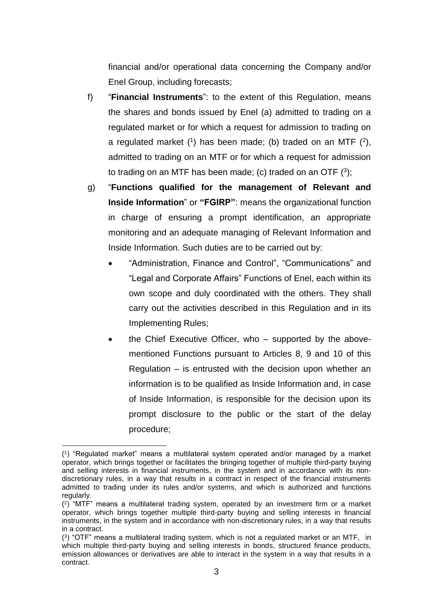financial and/or operational data concerning the Company and/or Enel Group, including forecasts;

- f) "**Financial Instruments**": to the extent of this Regulation, means the shares and bonds issued by Enel (a) admitted to trading on a regulated market or for which a request for admission to trading on a regulated market  $(1)$  has been made; (b) traded on an MTF  $(2)$ , admitted to trading on an MTF or for which a request for admission to trading on an MTF has been made; (c) traded on an OTF  $(3)$ ;
- g) "**Functions qualified for the management of Relevant and Inside Information**" or **"FGIRP"**: means the organizational function in charge of ensuring a prompt identification, an appropriate monitoring and an adequate managing of Relevant Information and Inside Information. Such duties are to be carried out by:
	- "Administration, Finance and Control", "Communications" and "Legal and Corporate Affairs" Functions of Enel, each within its own scope and duly coordinated with the others. They shall carry out the activities described in this Regulation and in its Implementing Rules;
	- the Chief Executive Officer, who supported by the abovementioned Functions pursuant to Articles 8, 9 and 10 of this Regulation – is entrusted with the decision upon whether an information is to be qualified as Inside Information and, in case of Inside Information, is responsible for the decision upon its prompt disclosure to the public or the start of the delay procedure;

 ( 1 ) "Regulated market" means a multilateral system operated and/or managed by a market operator, which brings together or facilitates the bringing together of multiple third-party buying and selling interests in financial instruments, in the system and in accordance with its nondiscretionary rules, in a way that results in a contract in respect of the financial instruments admitted to trading under its rules and/or systems, and which is authorized and functions regularly.

<sup>(</sup> 2 ) "MTF" means a multilateral trading system, operated by an investment firm or a market operator, which brings together multiple third-party buying and selling interests in financial instruments, in the system and in accordance with non-discretionary rules, in a way that results in a contract.

<sup>(</sup> 3 ) "OTF" means a multilateral trading system, which is not a regulated market or an MTF, in which multiple third-party buying and selling interests in bonds, structured finance products, emission allowances or derivatives are able to interact in the system in a way that results in a contract.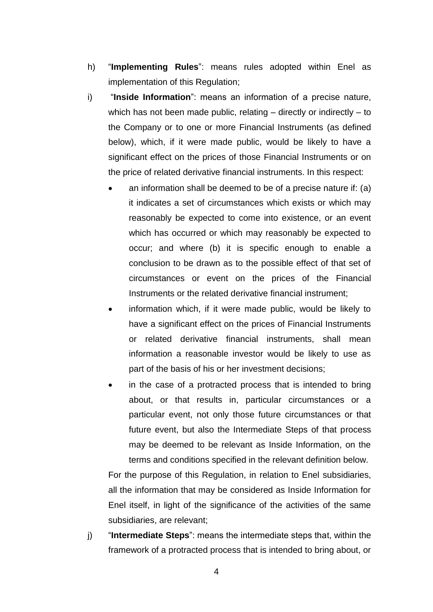- h) "**Implementing Rules**": means rules adopted within Enel as implementation of this Regulation;
- i) "**Inside Information**": means an information of a precise nature, which has not been made public, relating – directly or indirectly – to the Company or to one or more Financial Instruments (as defined below), which, if it were made public, would be likely to have a significant effect on the prices of those Financial Instruments or on the price of related derivative financial instruments. In this respect:
	- an information shall be deemed to be of a precise nature if: (a) it indicates a set of circumstances which exists or which may reasonably be expected to come into existence, or an event which has occurred or which may reasonably be expected to occur; and where (b) it is specific enough to enable a conclusion to be drawn as to the possible effect of that set of circumstances or event on the prices of the Financial Instruments or the related derivative financial instrument;
	- information which, if it were made public, would be likely to have a significant effect on the prices of Financial Instruments or related derivative financial instruments, shall mean information a reasonable investor would be likely to use as part of the basis of his or her investment decisions;
	- in the case of a protracted process that is intended to bring about, or that results in, particular circumstances or a particular event, not only those future circumstances or that future event, but also the Intermediate Steps of that process may be deemed to be relevant as Inside Information, on the terms and conditions specified in the relevant definition below.

For the purpose of this Regulation, in relation to Enel subsidiaries, all the information that may be considered as Inside Information for Enel itself, in light of the significance of the activities of the same subsidiaries, are relevant;

j) "**Intermediate Steps**": means the intermediate steps that, within the framework of a protracted process that is intended to bring about, or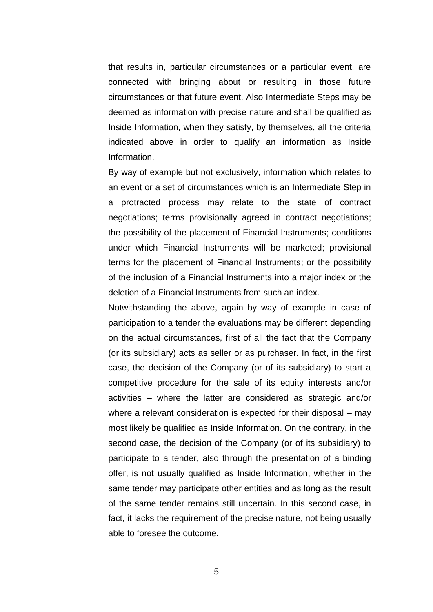that results in, particular circumstances or a particular event, are connected with bringing about or resulting in those future circumstances or that future event. Also Intermediate Steps may be deemed as information with precise nature and shall be qualified as Inside Information, when they satisfy, by themselves, all the criteria indicated above in order to qualify an information as Inside Information.

By way of example but not exclusively, information which relates to an event or a set of circumstances which is an Intermediate Step in a protracted process may relate to the state of contract negotiations; terms provisionally agreed in contract negotiations; the possibility of the placement of Financial Instruments; conditions under which Financial Instruments will be marketed; provisional terms for the placement of Financial Instruments; or the possibility of the inclusion of a Financial Instruments into a major index or the deletion of a Financial Instruments from such an index.

Notwithstanding the above, again by way of example in case of participation to a tender the evaluations may be different depending on the actual circumstances, first of all the fact that the Company (or its subsidiary) acts as seller or as purchaser. In fact, in the first case, the decision of the Company (or of its subsidiary) to start a competitive procedure for the sale of its equity interests and/or activities – where the latter are considered as strategic and/or where a relevant consideration is expected for their disposal – may most likely be qualified as Inside Information. On the contrary, in the second case, the decision of the Company (or of its subsidiary) to participate to a tender, also through the presentation of a binding offer, is not usually qualified as Inside Information, whether in the same tender may participate other entities and as long as the result of the same tender remains still uncertain. In this second case, in fact, it lacks the requirement of the precise nature, not being usually able to foresee the outcome.

5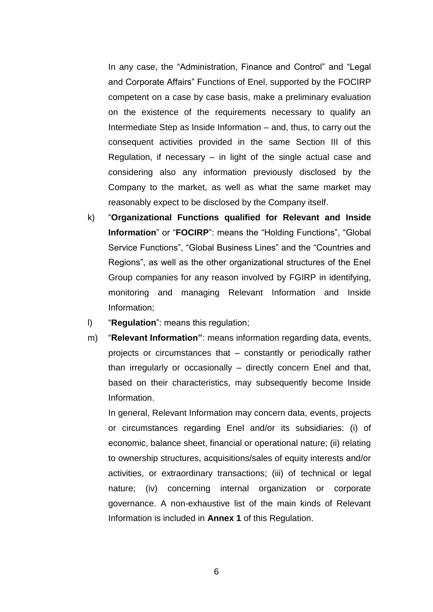In any case, the "Administration, Finance and Control" and "Legal and Corporate Affairs" Functions of Enel, supported by the FOCIRP competent on a case by case basis, make a preliminary evaluation on the existence of the requirements necessary to qualify an Intermediate Step as Inside Information – and, thus, to carry out the consequent activities provided in the same Section III of this Regulation, if necessary – in light of the single actual case and considering also any information previously disclosed by the Company to the market, as well as what the same market may reasonably expect to be disclosed by the Company itself.

- k) "**Organizational Functions qualified for Relevant and Inside Information**" or "**FOCIRP**": means the "Holding Functions", "Global Service Functions", "Global Business Lines" and the "Countries and Regions", as well as the other organizational structures of the Enel Group companies for any reason involved by FGIRP in identifying, monitoring and managing Relevant Information and Inside Information;
- l) "**Regulation**": means this regulation;
- m) "**Relevant Information"**: means information regarding data, events, projects or circumstances that – constantly or periodically rather than irregularly or occasionally – directly concern Enel and that, based on their characteristics, may subsequently become Inside Information.

In general, Relevant Information may concern data, events, projects or circumstances regarding Enel and/or its subsidiaries: (i) of economic, balance sheet, financial or operational nature; (ii) relating to ownership structures, acquisitions/sales of equity interests and/or activities, or extraordinary transactions; (iii) of technical or legal nature; (iv) concerning internal organization or corporate governance. A non-exhaustive list of the main kinds of Relevant Information is included in **Annex 1** of this Regulation.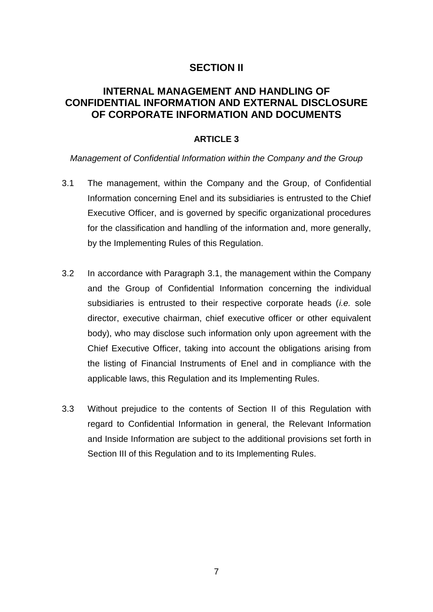## **SECTION II**

## **INTERNAL MANAGEMENT AND HANDLING OF CONFIDENTIAL INFORMATION AND EXTERNAL DISCLOSURE OF CORPORATE INFORMATION AND DOCUMENTS**

### **ARTICLE 3**

*Management of Confidential Information within the Company and the Group* 

- 3.1 The management, within the Company and the Group, of Confidential Information concerning Enel and its subsidiaries is entrusted to the Chief Executive Officer, and is governed by specific organizational procedures for the classification and handling of the information and, more generally, by the Implementing Rules of this Regulation.
- 3.2 In accordance with Paragraph 3.1, the management within the Company and the Group of Confidential Information concerning the individual subsidiaries is entrusted to their respective corporate heads (*i.e.* sole director, executive chairman, chief executive officer or other equivalent body), who may disclose such information only upon agreement with the Chief Executive Officer, taking into account the obligations arising from the listing of Financial Instruments of Enel and in compliance with the applicable laws, this Regulation and its Implementing Rules.
- 3.3 Without prejudice to the contents of Section II of this Regulation with regard to Confidential Information in general, the Relevant Information and Inside Information are subject to the additional provisions set forth in Section III of this Regulation and to its Implementing Rules.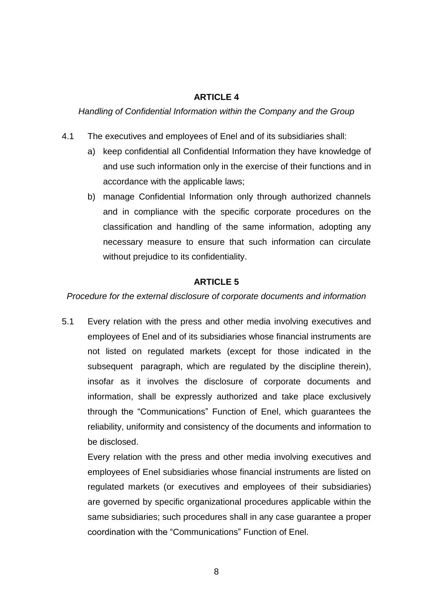## **ARTICLE 4**

*Handling of Confidential Information within the Company and the Group* 

- 4.1 The executives and employees of Enel and of its subsidiaries shall:
	- a) keep confidential all Confidential Information they have knowledge of and use such information only in the exercise of their functions and in accordance with the applicable laws;
	- b) manage Confidential Information only through authorized channels and in compliance with the specific corporate procedures on the classification and handling of the same information, adopting any necessary measure to ensure that such information can circulate without prejudice to its confidentiality.

## **ARTICLE 5**

*Procedure for the external disclosure of corporate documents and information* 

5.1 Every relation with the press and other media involving executives and employees of Enel and of its subsidiaries whose financial instruments are not listed on regulated markets (except for those indicated in the subsequent paragraph, which are regulated by the discipline therein), insofar as it involves the disclosure of corporate documents and information, shall be expressly authorized and take place exclusively through the "Communications" Function of Enel, which guarantees the reliability, uniformity and consistency of the documents and information to be disclosed.

Every relation with the press and other media involving executives and employees of Enel subsidiaries whose financial instruments are listed on regulated markets (or executives and employees of their subsidiaries) are governed by specific organizational procedures applicable within the same subsidiaries; such procedures shall in any case guarantee a proper coordination with the "Communications" Function of Enel.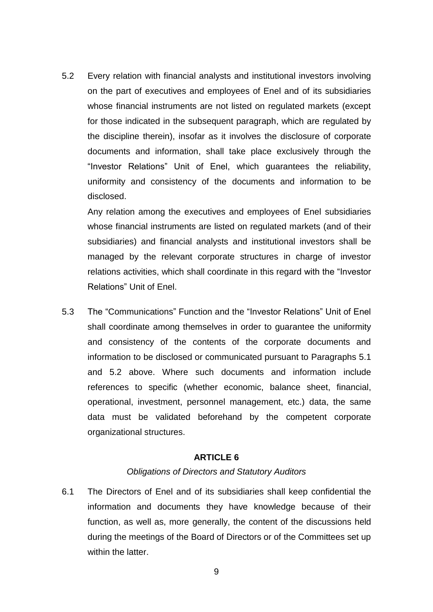5.2 Every relation with financial analysts and institutional investors involving on the part of executives and employees of Enel and of its subsidiaries whose financial instruments are not listed on regulated markets (except for those indicated in the subsequent paragraph, which are regulated by the discipline therein), insofar as it involves the disclosure of corporate documents and information, shall take place exclusively through the "Investor Relations" Unit of Enel, which guarantees the reliability, uniformity and consistency of the documents and information to be disclosed.

Any relation among the executives and employees of Enel subsidiaries whose financial instruments are listed on regulated markets (and of their subsidiaries) and financial analysts and institutional investors shall be managed by the relevant corporate structures in charge of investor relations activities, which shall coordinate in this regard with the "Investor Relations" Unit of Enel.

5.3 The "Communications" Function and the "Investor Relations" Unit of Enel shall coordinate among themselves in order to guarantee the uniformity and consistency of the contents of the corporate documents and information to be disclosed or communicated pursuant to Paragraphs 5.1 and 5.2 above. Where such documents and information include references to specific (whether economic, balance sheet, financial, operational, investment, personnel management, etc.) data, the same data must be validated beforehand by the competent corporate organizational structures.

#### **ARTICLE 6**

#### *Obligations of Directors and Statutory Auditors*

6.1 The Directors of Enel and of its subsidiaries shall keep confidential the information and documents they have knowledge because of their function, as well as, more generally, the content of the discussions held during the meetings of the Board of Directors or of the Committees set up within the latter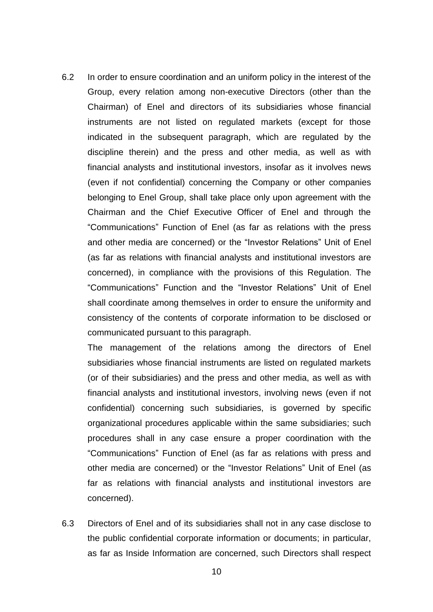6.2 In order to ensure coordination and an uniform policy in the interest of the Group, every relation among non-executive Directors (other than the Chairman) of Enel and directors of its subsidiaries whose financial instruments are not listed on regulated markets (except for those indicated in the subsequent paragraph, which are regulated by the discipline therein) and the press and other media, as well as with financial analysts and institutional investors, insofar as it involves news (even if not confidential) concerning the Company or other companies belonging to Enel Group, shall take place only upon agreement with the Chairman and the Chief Executive Officer of Enel and through the "Communications" Function of Enel (as far as relations with the press and other media are concerned) or the "Investor Relations" Unit of Enel (as far as relations with financial analysts and institutional investors are concerned), in compliance with the provisions of this Regulation. The "Communications" Function and the "Investor Relations" Unit of Enel shall coordinate among themselves in order to ensure the uniformity and consistency of the contents of corporate information to be disclosed or communicated pursuant to this paragraph.

The management of the relations among the directors of Enel subsidiaries whose financial instruments are listed on regulated markets (or of their subsidiaries) and the press and other media, as well as with financial analysts and institutional investors, involving news (even if not confidential) concerning such subsidiaries, is governed by specific organizational procedures applicable within the same subsidiaries; such procedures shall in any case ensure a proper coordination with the "Communications" Function of Enel (as far as relations with press and other media are concerned) or the "Investor Relations" Unit of Enel (as far as relations with financial analysts and institutional investors are concerned).

6.3 Directors of Enel and of its subsidiaries shall not in any case disclose to the public confidential corporate information or documents; in particular, as far as Inside Information are concerned, such Directors shall respect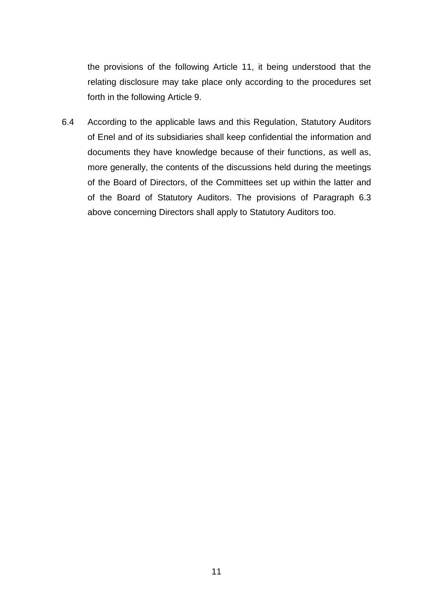the provisions of the following Article 11, it being understood that the relating disclosure may take place only according to the procedures set forth in the following Article 9.

6.4 According to the applicable laws and this Regulation, Statutory Auditors of Enel and of its subsidiaries shall keep confidential the information and documents they have knowledge because of their functions, as well as, more generally, the contents of the discussions held during the meetings of the Board of Directors, of the Committees set up within the latter and of the Board of Statutory Auditors. The provisions of Paragraph 6.3 above concerning Directors shall apply to Statutory Auditors too.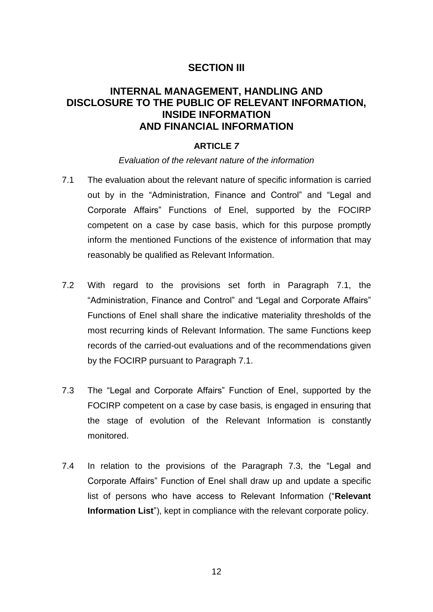## **SECTION III**

## **INTERNAL MANAGEMENT, HANDLING AND DISCLOSURE TO THE PUBLIC OF RELEVANT INFORMATION, INSIDE INFORMATION AND FINANCIAL INFORMATION**

### **ARTICLE** *7*

#### *Evaluation of the relevant nature of the information*

- 7.1 The evaluation about the relevant nature of specific information is carried out by in the "Administration, Finance and Control" and "Legal and Corporate Affairs" Functions of Enel, supported by the FOCIRP competent on a case by case basis, which for this purpose promptly inform the mentioned Functions of the existence of information that may reasonably be qualified as Relevant Information.
- 7.2 With regard to the provisions set forth in Paragraph 7.1, the "Administration, Finance and Control" and "Legal and Corporate Affairs" Functions of Enel shall share the indicative materiality thresholds of the most recurring kinds of Relevant Information. The same Functions keep records of the carried-out evaluations and of the recommendations given by the FOCIRP pursuant to Paragraph 7.1.
- 7.3 The "Legal and Corporate Affairs" Function of Enel, supported by the FOCIRP competent on a case by case basis, is engaged in ensuring that the stage of evolution of the Relevant Information is constantly monitored.
- 7.4 In relation to the provisions of the Paragraph 7.3, the "Legal and Corporate Affairs" Function of Enel shall draw up and update a specific list of persons who have access to Relevant Information ("**Relevant Information List**"), kept in compliance with the relevant corporate policy.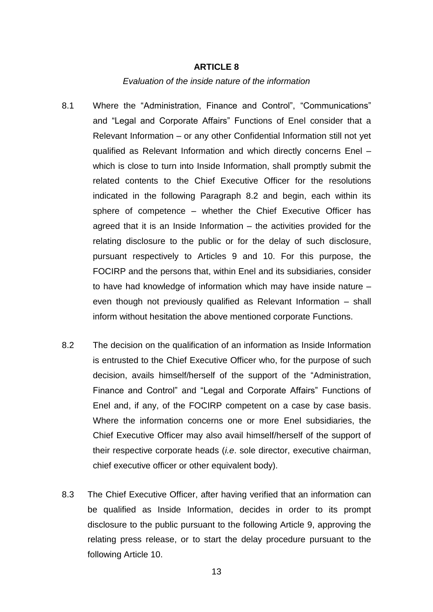#### **ARTICLE 8**

#### *Evaluation of the inside nature of the information*

- 8.1 Where the "Administration, Finance and Control", "Communications" and "Legal and Corporate Affairs" Functions of Enel consider that a Relevant Information – or any other Confidential Information still not yet qualified as Relevant Information and which directly concerns Enel – which is close to turn into Inside Information, shall promptly submit the related contents to the Chief Executive Officer for the resolutions indicated in the following Paragraph 8.2 and begin, each within its sphere of competence – whether the Chief Executive Officer has agreed that it is an Inside Information – the activities provided for the relating disclosure to the public or for the delay of such disclosure, pursuant respectively to Articles 9 and 10. For this purpose, the FOCIRP and the persons that, within Enel and its subsidiaries, consider to have had knowledge of information which may have inside nature – even though not previously qualified as Relevant Information – shall inform without hesitation the above mentioned corporate Functions.
- 8.2 The decision on the qualification of an information as Inside Information is entrusted to the Chief Executive Officer who, for the purpose of such decision, avails himself/herself of the support of the "Administration, Finance and Control" and "Legal and Corporate Affairs" Functions of Enel and, if any, of the FOCIRP competent on a case by case basis. Where the information concerns one or more Enel subsidiaries, the Chief Executive Officer may also avail himself/herself of the support of their respective corporate heads (*i.e*. sole director, executive chairman, chief executive officer or other equivalent body).
- 8.3 The Chief Executive Officer, after having verified that an information can be qualified as Inside Information, decides in order to its prompt disclosure to the public pursuant to the following Article 9, approving the relating press release, or to start the delay procedure pursuant to the following Article 10.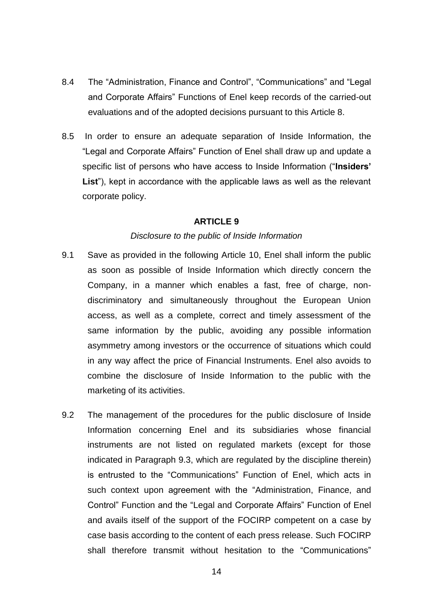- 8.4 The "Administration, Finance and Control", "Communications" and "Legal and Corporate Affairs" Functions of Enel keep records of the carried-out evaluations and of the adopted decisions pursuant to this Article 8.
- 8.5 In order to ensure an adequate separation of Inside Information, the "Legal and Corporate Affairs" Function of Enel shall draw up and update a specific list of persons who have access to Inside Information ("**Insiders' List**"), kept in accordance with the applicable laws as well as the relevant corporate policy.

#### **ARTICLE 9**

#### *Disclosure to the public of Inside Information*

- 9.1 Save as provided in the following Article 10, Enel shall inform the public as soon as possible of Inside Information which directly concern the Company, in a manner which enables a fast, free of charge, nondiscriminatory and simultaneously throughout the European Union access, as well as a complete, correct and timely assessment of the same information by the public, avoiding any possible information asymmetry among investors or the occurrence of situations which could in any way affect the price of Financial Instruments. Enel also avoids to combine the disclosure of Inside Information to the public with the marketing of its activities.
- 9.2 The management of the procedures for the public disclosure of Inside Information concerning Enel and its subsidiaries whose financial instruments are not listed on regulated markets (except for those indicated in Paragraph 9.3, which are regulated by the discipline therein) is entrusted to the "Communications" Function of Enel, which acts in such context upon agreement with the "Administration, Finance, and Control" Function and the "Legal and Corporate Affairs" Function of Enel and avails itself of the support of the FOCIRP competent on a case by case basis according to the content of each press release. Such FOCIRP shall therefore transmit without hesitation to the "Communications"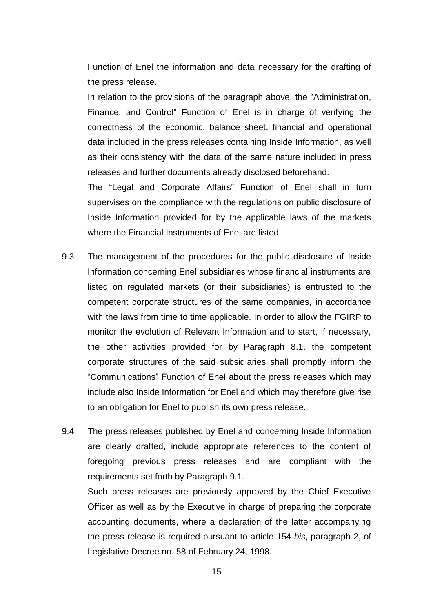Function of Enel the information and data necessary for the drafting of the press release.

In relation to the provisions of the paragraph above, the "Administration, Finance, and Control" Function of Enel is in charge of verifying the correctness of the economic, balance sheet, financial and operational data included in the press releases containing Inside Information, as well as their consistency with the data of the same nature included in press releases and further documents already disclosed beforehand.

The "Legal and Corporate Affairs" Function of Enel shall in turn supervises on the compliance with the regulations on public disclosure of Inside Information provided for by the applicable laws of the markets where the Financial Instruments of Enel are listed.

- 9.3 The management of the procedures for the public disclosure of Inside Information concerning Enel subsidiaries whose financial instruments are listed on regulated markets (or their subsidiaries) is entrusted to the competent corporate structures of the same companies, in accordance with the laws from time to time applicable. In order to allow the FGIRP to monitor the evolution of Relevant Information and to start, if necessary, the other activities provided for by Paragraph 8.1, the competent corporate structures of the said subsidiaries shall promptly inform the "Communications" Function of Enel about the press releases which may include also Inside Information for Enel and which may therefore give rise to an obligation for Enel to publish its own press release.
- 9.4 The press releases published by Enel and concerning Inside Information are clearly drafted, include appropriate references to the content of foregoing previous press releases and are compliant with the requirements set forth by Paragraph 9.1.

Such press releases are previously approved by the Chief Executive Officer as well as by the Executive in charge of preparing the corporate accounting documents, where a declaration of the latter accompanying the press release is required pursuant to article 154-*bis*, paragraph 2, of Legislative Decree no. 58 of February 24, 1998.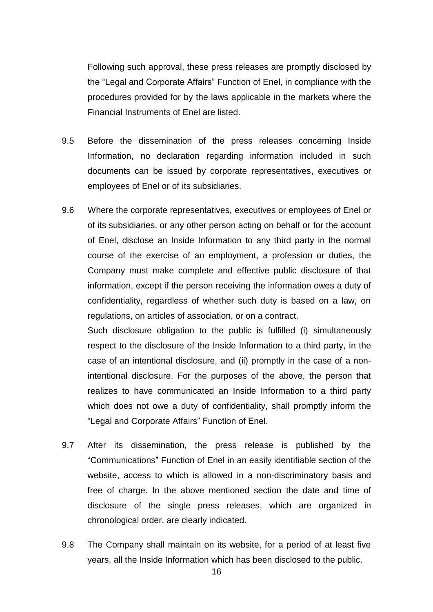Following such approval, these press releases are promptly disclosed by the "Legal and Corporate Affairs" Function of Enel, in compliance with the procedures provided for by the laws applicable in the markets where the Financial Instruments of Enel are listed.

- 9.5 Before the dissemination of the press releases concerning Inside Information, no declaration regarding information included in such documents can be issued by corporate representatives, executives or employees of Enel or of its subsidiaries.
- 9.6 Where the corporate representatives, executives or employees of Enel or of its subsidiaries, or any other person acting on behalf or for the account of Enel, disclose an Inside Information to any third party in the normal course of the exercise of an employment, a profession or duties, the Company must make complete and effective public disclosure of that information, except if the person receiving the information owes a duty of confidentiality, regardless of whether such duty is based on a law, on regulations, on articles of association, or on a contract.

Such disclosure obligation to the public is fulfilled (i) simultaneously respect to the disclosure of the Inside Information to a third party, in the case of an intentional disclosure, and (ii) promptly in the case of a nonintentional disclosure. For the purposes of the above, the person that realizes to have communicated an Inside Information to a third party which does not owe a duty of confidentiality, shall promptly inform the "Legal and Corporate Affairs" Function of Enel.

- 9.7 After its dissemination, the press release is published by the "Communications" Function of Enel in an easily identifiable section of the website, access to which is allowed in a non-discriminatory basis and free of charge. In the above mentioned section the date and time of disclosure of the single press releases, which are organized in chronological order, are clearly indicated.
- 9.8 The Company shall maintain on its website, for a period of at least five years, all the Inside Information which has been disclosed to the public.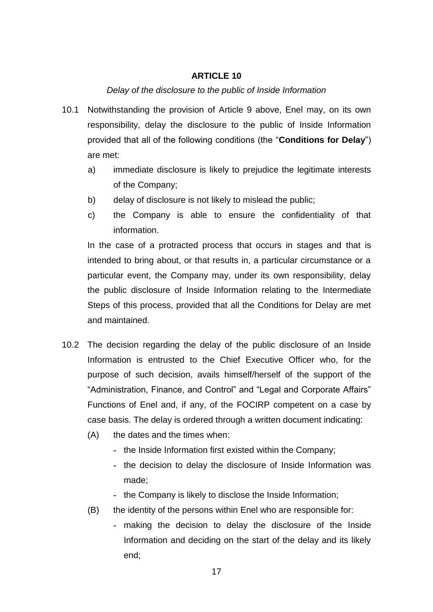#### **ARTICLE 10**

#### *Delay of the disclosure to the public of Inside Information*

- 10.1 Notwithstanding the provision of Article 9 above, Enel may, on its own responsibility, delay the disclosure to the public of Inside Information provided that all of the following conditions (the "**Conditions for Delay**") are met:
	- a) immediate disclosure is likely to prejudice the legitimate interests of the Company;
	- b) delay of disclosure is not likely to mislead the public;
	- c) the Company is able to ensure the confidentiality of that information.

In the case of a protracted process that occurs in stages and that is intended to bring about, or that results in, a particular circumstance or a particular event, the Company may, under its own responsibility, delay the public disclosure of Inside Information relating to the Intermediate Steps of this process, provided that all the Conditions for Delay are met and maintained.

- 10.2 The decision regarding the delay of the public disclosure of an Inside Information is entrusted to the Chief Executive Officer who, for the purpose of such decision, avails himself/herself of the support of the "Administration, Finance, and Control" and "Legal and Corporate Affairs" Functions of Enel and, if any, of the FOCIRP competent on a case by case basis. The delay is ordered through a written document indicating:
	- (A) the dates and the times when:
		- **-** the Inside Information first existed within the Company;
		- **-** the decision to delay the disclosure of Inside Information was made;
		- **-** the Company is likely to disclose the Inside Information;
	- (B) the identity of the persons within Enel who are responsible for:
		- **-** making the decision to delay the disclosure of the Inside Information and deciding on the start of the delay and its likely end;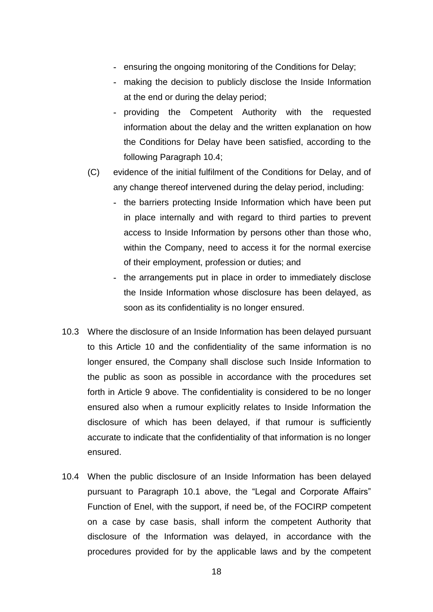- **-** ensuring the ongoing monitoring of the Conditions for Delay;
- **-** making the decision to publicly disclose the Inside Information at the end or during the delay period;
- **-** providing the Competent Authority with the requested information about the delay and the written explanation on how the Conditions for Delay have been satisfied, according to the following Paragraph 10.4;
- (C) evidence of the initial fulfilment of the Conditions for Delay, and of any change thereof intervened during the delay period, including:
	- **-** the barriers protecting Inside Information which have been put in place internally and with regard to third parties to prevent access to Inside Information by persons other than those who, within the Company, need to access it for the normal exercise of their employment, profession or duties; and
	- **-** the arrangements put in place in order to immediately disclose the Inside Information whose disclosure has been delayed, as soon as its confidentiality is no longer ensured.
- 10.3 Where the disclosure of an Inside Information has been delayed pursuant to this Article 10 and the confidentiality of the same information is no longer ensured, the Company shall disclose such Inside Information to the public as soon as possible in accordance with the procedures set forth in Article 9 above. The confidentiality is considered to be no longer ensured also when a rumour explicitly relates to Inside Information the disclosure of which has been delayed, if that rumour is sufficiently accurate to indicate that the confidentiality of that information is no longer ensured.
- 10.4 When the public disclosure of an Inside Information has been delayed pursuant to Paragraph 10.1 above, the "Legal and Corporate Affairs" Function of Enel, with the support, if need be, of the FOCIRP competent on a case by case basis, shall inform the competent Authority that disclosure of the Information was delayed, in accordance with the procedures provided for by the applicable laws and by the competent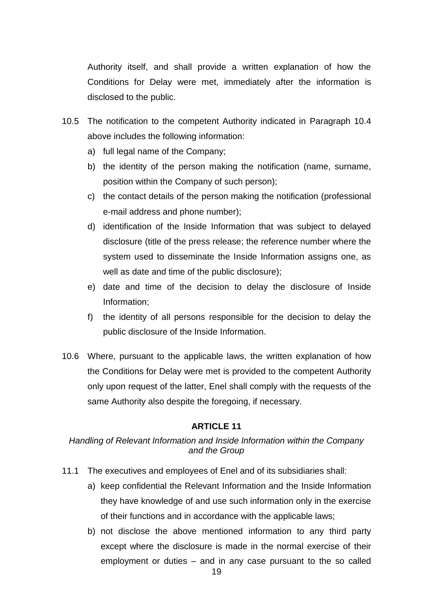Authority itself, and shall provide a written explanation of how the Conditions for Delay were met, immediately after the information is disclosed to the public.

- 10.5 The notification to the competent Authority indicated in Paragraph 10.4 above includes the following information:
	- a) full legal name of the Company;
	- b) the identity of the person making the notification (name, surname, position within the Company of such person);
	- c) the contact details of the person making the notification (professional e-mail address and phone number);
	- d) identification of the Inside Information that was subject to delayed disclosure (title of the press release; the reference number where the system used to disseminate the Inside Information assigns one, as well as date and time of the public disclosure);
	- e) date and time of the decision to delay the disclosure of Inside Information;
	- f) the identity of all persons responsible for the decision to delay the public disclosure of the Inside Information.
- 10.6 Where, pursuant to the applicable laws, the written explanation of how the Conditions for Delay were met is provided to the competent Authority only upon request of the latter, Enel shall comply with the requests of the same Authority also despite the foregoing, if necessary.

## **ARTICLE 11**

## *Handling of Relevant Information and Inside Information within the Company and the Group*

- 11.1 The executives and employees of Enel and of its subsidiaries shall:
	- a) keep confidential the Relevant Information and the Inside Information they have knowledge of and use such information only in the exercise of their functions and in accordance with the applicable laws;
	- b) not disclose the above mentioned information to any third party except where the disclosure is made in the normal exercise of their employment or duties – and in any case pursuant to the so called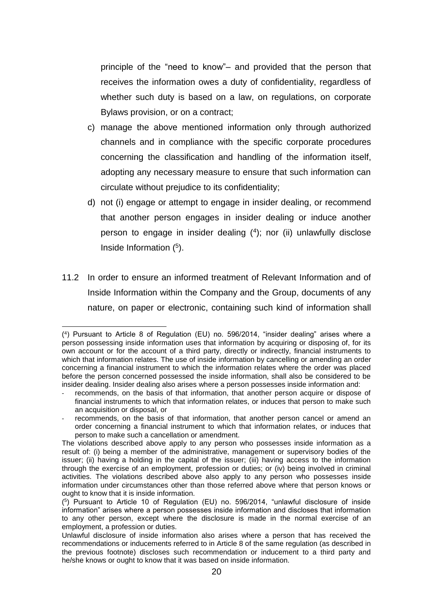principle of the "need to know"– and provided that the person that receives the information owes a duty of confidentiality, regardless of whether such duty is based on a law, on regulations, on corporate Bylaws provision, or on a contract;

- c) manage the above mentioned information only through authorized channels and in compliance with the specific corporate procedures concerning the classification and handling of the information itself, adopting any necessary measure to ensure that such information can circulate without prejudice to its confidentiality;
- d) not (i) engage or attempt to engage in insider dealing, or recommend that another person engages in insider dealing or induce another person to engage in insider dealing (<sup>4</sup> ); nor (ii) unlawfully disclose Inside Information ( 5 ).
- 11.2 In order to ensure an informed treatment of Relevant Information and of Inside Information within the Company and the Group, documents of any nature, on paper or electronic, containing such kind of information shall

<sup>(</sup> 4 ) Pursuant to Article 8 of Regulation (EU) no. 596/2014, "insider dealing" arises where a person possessing inside information uses that information by acquiring or disposing of, for its own account or for the account of a third party, directly or indirectly, financial instruments to which that information relates. The use of inside information by cancelling or amending an order concerning a financial instrument to which the information relates where the order was placed before the person concerned possessed the inside information, shall also be considered to be insider dealing. Insider dealing also arises where a person possesses inside information and:

recommends, on the basis of that information, that another person acquire or dispose of financial instruments to which that information relates, or induces that person to make such an acquisition or disposal, or

recommends, on the basis of that information, that another person cancel or amend an order concerning a financial instrument to which that information relates, or induces that person to make such a cancellation or amendment.

The violations described above apply to any person who possesses inside information as a result of: (i) being a member of the administrative, management or supervisory bodies of the issuer; (ii) having a holding in the capital of the issuer; (iii) having access to the information through the exercise of an employment, profession or duties; or (iv) being involved in criminal activities. The violations described above also apply to any person who possesses inside information under circumstances other than those referred above where that person knows or ought to know that it is inside information.

<sup>(</sup> 5 ) Pursuant to Article 10 of Regulation (EU) no. 596/2014, "unlawful disclosure of inside information" arises where a person possesses inside information and discloses that information to any other person, except where the disclosure is made in the normal exercise of an employment, a profession or duties.

Unlawful disclosure of inside information also arises where a person that has received the recommendations or inducements referred to in Article 8 of the same regulation (as described in the previous footnote) discloses such recommendation or inducement to a third party and he/she knows or ought to know that it was based on inside information.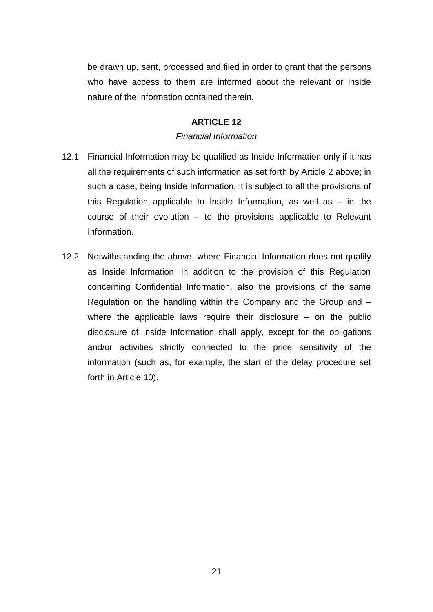be drawn up, sent, processed and filed in order to grant that the persons who have access to them are informed about the relevant or inside nature of the information contained therein.

## **ARTICLE 12**

### *Financial Information*

- 12.1 Financial Information may be qualified as Inside Information only if it has all the requirements of such information as set forth by Article 2 above; in such a case, being Inside Information, it is subject to all the provisions of this Regulation applicable to Inside Information, as well as – in the course of their evolution – to the provisions applicable to Relevant Information.
- 12.2 Notwithstanding the above, where Financial Information does not qualify as Inside Information, in addition to the provision of this Regulation concerning Confidential Information, also the provisions of the same Regulation on the handling within the Company and the Group and – where the applicable laws require their disclosure – on the public disclosure of Inside Information shall apply, except for the obligations and/or activities strictly connected to the price sensitivity of the information (such as, for example, the start of the delay procedure set forth in Article 10).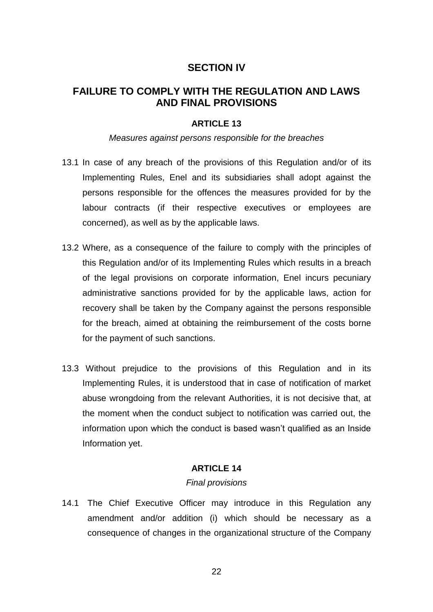## **SECTION IV**

## **FAILURE TO COMPLY WITH THE REGULATION AND LAWS AND FINAL PROVISIONS**

### **ARTICLE 13**

#### *Measures against persons responsible for the breaches*

- 13.1 In case of any breach of the provisions of this Regulation and/or of its Implementing Rules, Enel and its subsidiaries shall adopt against the persons responsible for the offences the measures provided for by the labour contracts (if their respective executives or employees are concerned), as well as by the applicable laws.
- 13.2 Where, as a consequence of the failure to comply with the principles of this Regulation and/or of its Implementing Rules which results in a breach of the legal provisions on corporate information, Enel incurs pecuniary administrative sanctions provided for by the applicable laws, action for recovery shall be taken by the Company against the persons responsible for the breach, aimed at obtaining the reimbursement of the costs borne for the payment of such sanctions.
- 13.3 Without prejudice to the provisions of this Regulation and in its Implementing Rules, it is understood that in case of notification of market abuse wrongdoing from the relevant Authorities, it is not decisive that, at the moment when the conduct subject to notification was carried out, the information upon which the conduct is based wasn't qualified as an Inside Information yet.

### **ARTICLE 14**

#### *Final provisions*

14.1 The Chief Executive Officer may introduce in this Regulation any amendment and/or addition (i) which should be necessary as a consequence of changes in the organizational structure of the Company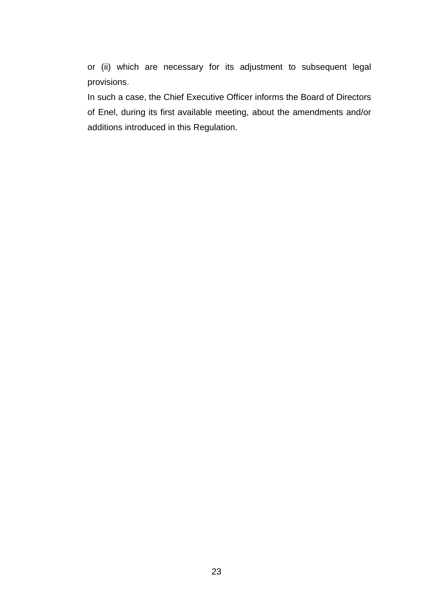or (ii) which are necessary for its adjustment to subsequent legal provisions.

In such a case, the Chief Executive Officer informs the Board of Directors of Enel, during its first available meeting, about the amendments and/or additions introduced in this Regulation.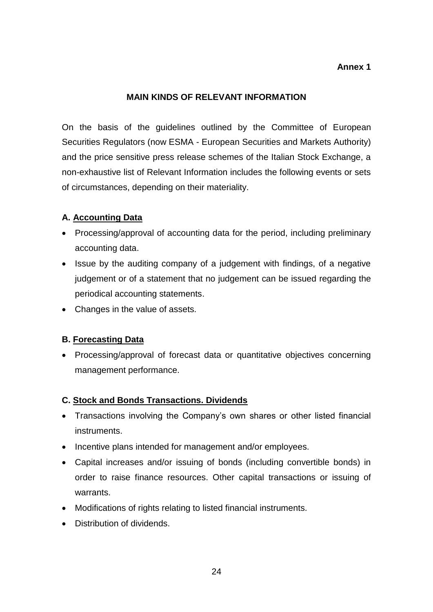## **Annex 1**

## **MAIN KINDS OF RELEVANT INFORMATION**

On the basis of the guidelines outlined by the Committee of European Securities Regulators (now ESMA - European Securities and Markets Authority) and the price sensitive press release schemes of the Italian Stock Exchange, a non-exhaustive list of Relevant Information includes the following events or sets of circumstances, depending on their materiality.

## **A. Accounting Data**

- Processing/approval of accounting data for the period, including preliminary accounting data.
- Issue by the auditing company of a judgement with findings, of a negative judgement or of a statement that no judgement can be issued regarding the periodical accounting statements.
- Changes in the value of assets.

## **B. Forecasting Data**

• Processing/approval of forecast data or quantitative objectives concerning management performance.

### **C. Stock and Bonds Transactions. Dividends**

- Transactions involving the Company's own shares or other listed financial instruments.
- Incentive plans intended for management and/or employees.
- Capital increases and/or issuing of bonds (including convertible bonds) in order to raise finance resources. Other capital transactions or issuing of warrants.
- Modifications of rights relating to listed financial instruments.
- **•** Distribution of dividends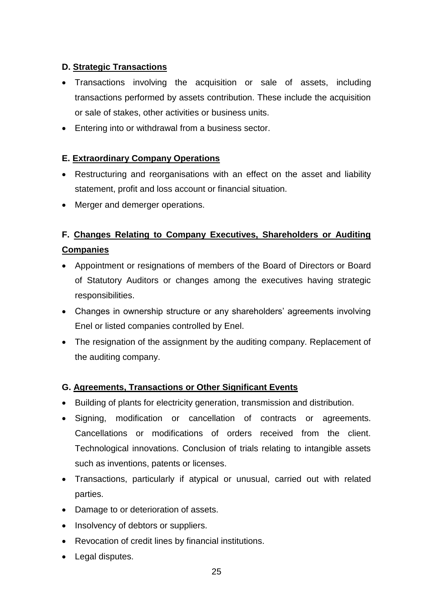## **D. Strategic Transactions**

- Transactions involving the acquisition or sale of assets, including transactions performed by assets contribution. These include the acquisition or sale of stakes, other activities or business units.
- Entering into or withdrawal from a business sector.

## **E. Extraordinary Company Operations**

- Restructuring and reorganisations with an effect on the asset and liability statement, profit and loss account or financial situation.
- Merger and demerger operations.

# **F. Changes Relating to Company Executives, Shareholders or Auditing Companies**

- Appointment or resignations of members of the Board of Directors or Board of Statutory Auditors or changes among the executives having strategic responsibilities.
- Changes in ownership structure or any shareholders' agreements involving Enel or listed companies controlled by Enel.
- The resignation of the assignment by the auditing company. Replacement of the auditing company.

## **G. Agreements, Transactions or Other Significant Events**

- Building of plants for electricity generation, transmission and distribution.
- Signing, modification or cancellation of contracts or agreements. Cancellations or modifications of orders received from the client. Technological innovations. Conclusion of trials relating to intangible assets such as inventions, patents or licenses.
- Transactions, particularly if atypical or unusual, carried out with related parties.
- Damage to or deterioration of assets.
- Insolvency of debtors or suppliers.
- Revocation of credit lines by financial institutions.
- Legal disputes.